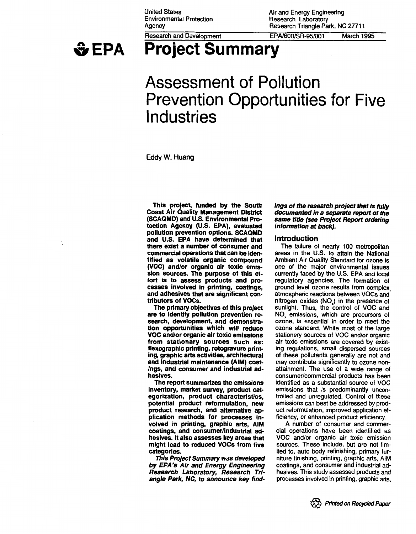United States Environmental Protection Agency



Research and Development

Air and Energy Engineering Research Laboratory Research Triangle Park, NC 27711

EPA/600/SR-95/001 March 1995

# **Project Summary**

# **Assessment of Pollution Prevention Opportunities for Five Industries**

Eddy W. Huang

This project, funded by the South Coast Air Quality Management District (SCAQMD) and U.S. Environmental Protection Agency (U.S. EPA), evaluated pollution prevention options. SCAQMD and U.S. EPA have determined that there exist a number of consumer and commercial operations that can be identified as volatile organic compound (VOC) and/or organic air toxic emission sources. The purpose of this effort is to assess products and processes Involved in printing, coatings, and adhesives that are significant contributors of VOCs.

The primary objectives of this project are to identify pollution prevention research, development, and demonstration opportunities which will reduce VOC and/or organic air toxic emissions from stationary sources such as: flexographic printing, rotogravure printing, graphic arts activities, architectural and Industrial maintenance (AIM) coat-Ings, and consumer and industrial adhesives.

The report summarizes the emissions Inventory, market survey, product categorization, product characteristics, potential product reformulation, new product research, and alternative application methods for processes involved in printing, graphic arts, AIM coatings, and consumer/Industrial adhesives. It also assesses key areas that might lead to reduced VOCs from five categories.

This Project Summary was developed by EFA's Air and Energy Engineering Research Laboratory, Research Triangle Park, NC, to announce key find-

#### ings of the research project that is fully documented in a separate report of the same title (see Project Report ordering Information at back}.

#### Introduction

The failure of nearly 100 metropolitan areas in the U.S. to attain the National Ambient Air Quality Standard for ozone is one of the major environmental issues currently faced by the U.S. EPA and local regulatory agencies. The formation of ground level ozone results from complex. atmospheric reactions between VOCs and nitrogen oxides (NO .) in the presence of sunlight. Thus, the control of VOC and NO. emissions, which are precursors of ozone, is essential in order to meet the ozone standard. While most of the large stationery sources of VOC and/or organic air toxic emissions are covered by existing regulations, small dispersed sources of these pollutants generally are not and may contribute significantly to ozone nonattainment. The use of a wide range of consumer/commercial products has been identified as a substantial source of VOC emissions that is predominantly uncontrolled and unregulated. Control of these emissions can best be addressed by product reformulation, improved application efficiency, or enhanced product efficiency.

A number of consumer and commercial operations have been identified as VOC and/or organic air toxic emission sources. These include, but are not limited to, auto body refinishing, primary furniture finishing, printing, graphic arts, AIM coatings, and consumer and industrial adhesives. This study assessed products and processes involved in printing, graphic arts,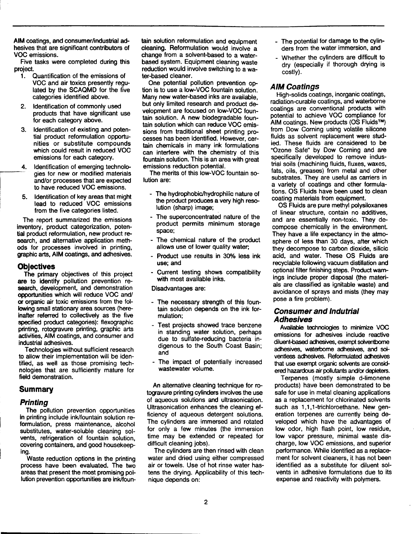AIM coatings, and consumer/industrial adhesives that are significant contributors of VOC emissions.

Five tasks were completed during this project.

- 1. Quantification of the emissions of VOC and air toxics presently regulated by the SCAQMD for the five categories identified above.
- 2. Identification of commonly used products that have significant use for each category above.
- 3. Identification of existing and potential product reformulation opportunities or substitute compounds which could result in reduced VOC emissions for each category.
- 4. Identification of emerging technolo gies for new or modified materials and/or processes that are expected to have reduced VOC emissions.
- 5. Identification of key areas that might lead to reduced VOC emissions from the five categories listed.

The report summarized the emissions inventory, product categorization, potential product reformulation, new product research, and alternative application methods for processes involved in printing, graphic arts, AIM coatings, and adhesives.

#### **Objectives**

The primary objectives of this project are to identify pollution prevention research, development, and demonstration opportunities which will reduce VOC and/ or organic air toxic emissions from the following small stationary area sources (hereinafter referred to collectively as the five specified product categories): flexographic printing, rotogravure printing, graphic arts activities, AIM coatings, and consumer and industrial adhesives.

Technologies without sufficient research to allow their implementation will be identified, as well as those promising technologies that are sufficiently mature for field demonstration.

### **Summary**

#### Printing

The pollution prevention opportunities in printing include ink/fountain solution reformulation, press maintenance, alcohol substitutes, water-soluble cleaning solvents, refrigeration of fountain solution, covering containers, and good housekeeping.

Waste reduction options in the printing process have been evaluated. The two areas that present the most promising pollution prevention opportunities are ink/fountain solution reformulation and equipment cleaning. Reformulation would involve a change from a solvent-based to a waterbased system. Equipment cleaning waste reduction would involve switching to a water-based cleaner.

One potential pollution prevention option is to use a low-VOC fountain solution. Many new water-based inks are available, but only limited research and product development are focused on low-VOC fountain solution. A new biodegradable fountain solution which can reduce VOC emissions from traditional sheet printing processes has been identified. However, certain chemicals in many ink formulations can interfere with the chemistry of this fountain solution. This is an area with great emissions reduction potential.

The merits of this low-VOC fountain solution are:

- The hydrophobic/hydrophilic nature of the product produces a very high resolution (sharp) image;
- The superconcentrated nature of the product permits minimum storage space;
- The chemical nature of the product allows use of lower quality water;
- Product use results in 30% less ink use; and
- Current testing shows compatibility with most available inks.

Disadvantages are:

- The necessary strength of this fountain solution depends on the ink formulation;
- Test projects showed trace benzene in standing water solution, perhaps due to sulfate-reducing bacteria indigenous to the South Coast Basin; and
- The impact of potentially increased wastewater volume.

An alternative cleaning technique for rotogravure printing cylinders involves the use of aqueous solutions and ultrasonication. Ultrasonication enhances the cleaning efficiency of aqueous detergent solutions. The cylinders are immersed and rotated for only a few minutes (the immersion time may be extended or repeated for difficult cleaning jobs).

The cylinders are then rinsed with clean water and dried using either compressed air or towels. Use of hot rinse water hastens the drying. Applicability of this technique depends on:

- The potential for damage to the cylinders from the water immersion, and
- Whether the cylinders are difficult to dry (especially if thorough drying is costly).

# AIM Coatings

High-solids coatings, inorganic coatings, radiation-curable coatings, and waterborne coatings are conventional products with potential to achieve VOC compliance for AIM coatings. New products (OS Fluids™) from Dow Corning using volatile silicone fluids as solvent replacement were studied. These fluids are considered to be "Ozone Safe" by Dow Corning and are specifically developed to remove industrial soils (machining fluids, fluxes, waxes, fats, oils, greases) from metal and other substrates. They are useful as carriers in a variety of coatings and other formulations. OS Fluids have been used to clean coating materials from equipment.

OS Fluids are pure methyl polysiloxanes of linear structure, contain no additives, and are essentially non-toxic. They decompose chemically in the environment. They have a life expectancy in the atmosphere of less than 30 days, after which they decompose to carbon dioxide, silicic acid, and water. These OS Fluids are recyclable following vacuum distillation and optional filter finishing steps. Product warnings include proper disposal (the materials are classified as ignitable waste) and avoidance of sprays and mists (they may pose a fire problem).

# Consumer and lndutrial Adhesives

Available technologies to minimize VOC emissions for adhesives include reactive diluent-based adhesives, exempt solventborne adhesives, waterborne adhesives, and solventless adhesives. Reformulated adhesives that use exempt organic solvents are considered hazardous air pollutants and/or depleters.

Terpanes (mostly simple d-limonene products) have been demonstrated to be safe for use in metal cleaning applications as a replacement for chlorinated solvents such as 1,1,1-trichloroethane. New generation terpenes are currently being developed which have the advantages of low odor, high flash point, low residue, low vapor pressure, minimal waste discharge, low VOC emissions, and superior performance. While identified as a replacement for solvent cleaners, it has not been identified as a substitute for diluent solvents in adhesive formulations due to its expense and reactivity with polymers.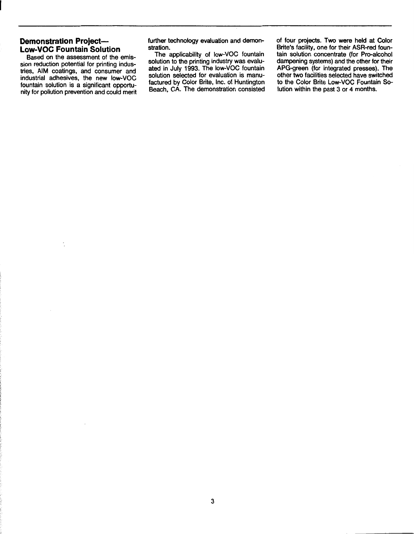# **Demonstration Project-Low-VOC Fountain Solution**

Based on the assessment of the emission reduction potential for printing industries, AIM coatings, and consumer and industrial adhesives, the new low-VOC fountain solution is a significant opportunity for pollution prevention and could merit further technology evaluation and demonstration.

The applicability of low-VOC fountain solution to the printing industry was evaluated in July 1993. The low-VOC fountain solution selected for evaluation is manufactured by Color Brite, Inc. of Huntington Beach, CA. The demonstration consisted of four projects. Two were held at Color Brite's facility, one for their ASR-red fountain solution concentrate (for Pro-alcohol dampening systems) and the other for their APG-green (for integrated presses). The other two facilities selected have switched to the Color Brite Low-VOC Fountain Solution within the past 3 or 4 months.